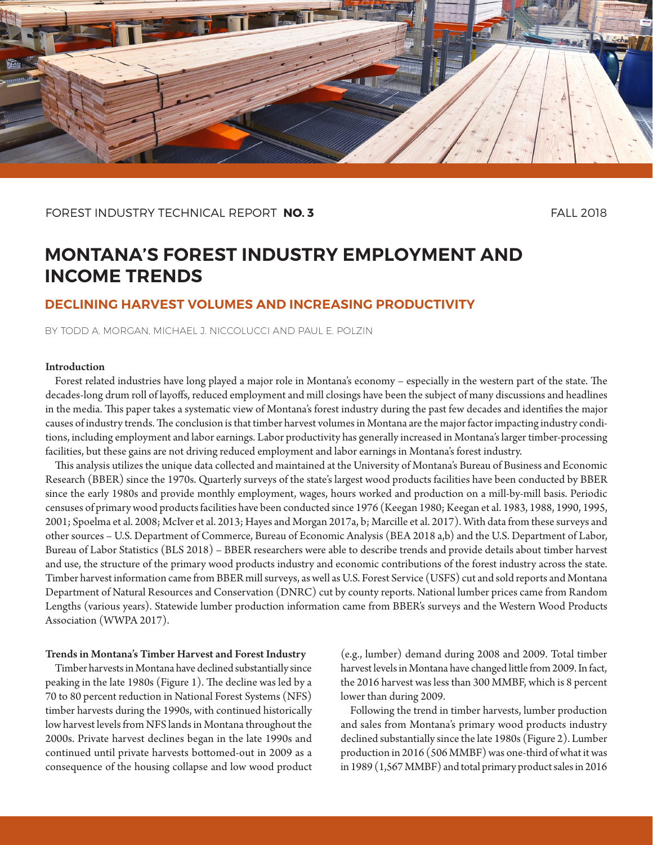

## FOREST INDUSTRY TECHNICAL REPORT **NO. 3** FALL 2018

# **MONTANA'S FOREST INDUSTRY EMPLOYMENT AND INCOME TRENDS**

# **DECLINING HARVEST VOLUMES AND INCREASING PRODUCTIVITY**

BY TODD A. MORGAN, MICHAEL J. NICCOLUCCI AND PAUL E. POLZIN

#### Introduction

Forest related industries have long played a major role in Montana's economy – especially in the western part of the state. The decades-long drum roll of layoffs, reduced employment and mill closings have been the subject of many discussions and headlines in the media. This paper takes a systematic view of Montana's forest industry during the past few decades and identifies the major causes of industry trends. The conclusion is that timber harvest volumes in Montana are the major factor impacting industry conditions, including employment and labor earnings. Labor productivity has generally increased in Montana's larger timber-processing facilities, but these gains are not driving reduced employment and labor earnings in Montana's forest industry.

This analysis utilizes the unique data collected and maintained at the University of Montana's Bureau of Business and Economic Research (BBER) since the 1970s. Quarterly surveys of the state's largest wood products facilities have been conducted by BBER since the early 1980s and provide monthly employment, wages, hours worked and production on a mill-by-mill basis. Periodic censuses of primary wood products facilities have been conducted since 1976 (Keegan 1980; Keegan et al. 1983, 1988, 1990, 1995, 2001; Spoelma et al. 2008; McIver et al. 2013; Hayes and Morgan 2017a, b; Marcille et al. 2017). With data from these surveys and other sources – U.S. Department of Commerce, Bureau of Economic Analysis (BEA 2018 a,b) and the U.S. Department of Labor, Bureau of Labor Statistics (BLS 2018) – BBER researchers were able to describe trends and provide details about timber harvest and use, the structure of the primary wood products industry and economic contributions of the forest industry across the state. Timber harvest information came from BBER mill surveys, as well as U.S. Forest Service (USFS) cut and sold reports and Montana Department of Natural Resources and Conservation (DNRC) cut by county reports. National lumber prices came from Random Lengths (various years). Statewide lumber production information came from BBER's surveys and the Western Wood Products Association (WWPA 2017).

#### Trends in Montana's Timber Harvest and Forest Industry

Timber harvests in Montana have declined substantially since peaking in the late 1980s (Figure 1). The decline was led by a 70 to 80 percent reduction in National Forest Systems (NFS) timber harvests during the 1990s, with continued historically low harvest levels from NFS lands in Montana throughout the 2000s. Private harvest declines began in the late 1990s and continued until private harvests bottomed-out in 2009 as a consequence of the housing collapse and low wood product

(e.g., lumber) demand during 2008 and 2009. Total timber harvest levels in Montana have changed little from 2009. In fact, the 2016 harvest was less than 300 MMBF, which is 8 percent lower than during 2009.

Following the trend in timber harvests, lumber production and sales from Montana's primary wood products industry declined substantially since the late 1980s (Figure 2). Lumber production in 2016 (506 MMBF) was one-third of what it was in 1989 (1,567 MMBF) and total primary product sales in 2016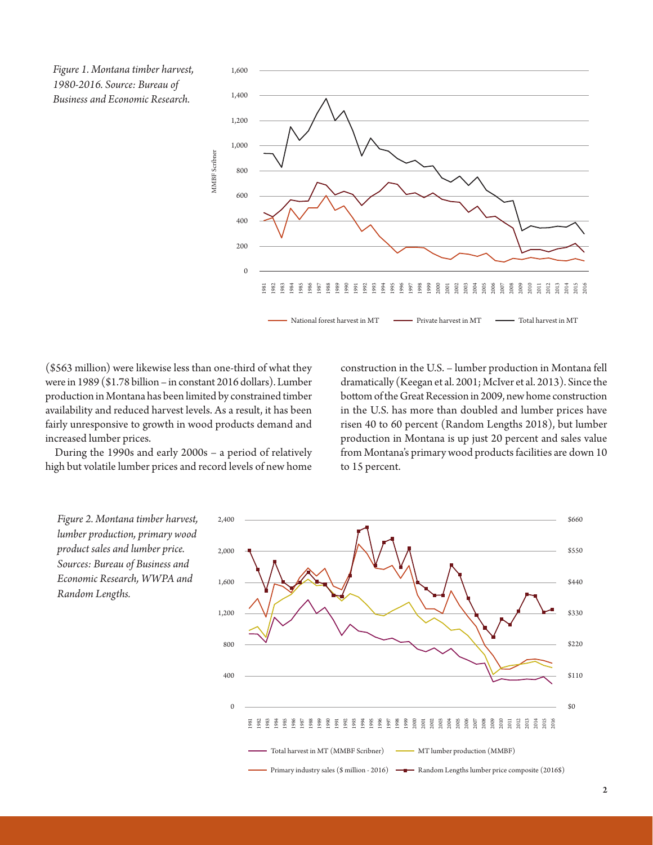*Figure 1. Montana timber harvest, 1980-2016. Source: Bureau of Business and Economic Research.*



(\$563 million) were likewise less than one-third of what they were in 1989 (\$1.78 billion – in constant 2016 dollars). Lumber production in Montana has been limited by constrained timber availability and reduced harvest levels. As a result, it has been fairly unresponsive to growth in wood products demand and increased lumber prices.

During the 1990s and early 2000s – a period of relatively high but volatile lumber prices and record levels of new home

construction in the U.S. – lumber production in Montana fell dramatically (Keegan et al. 2001; McIver et al. 2013). Since the bottom of the Great Recession in 2009, new home construction in the U.S. has more than doubled and lumber prices have risen 40 to 60 percent (Random Lengths 2018), but lumber production in Montana is up just 20 percent and sales value from Montana's primary wood products facilities are down 10 to 15 percent.

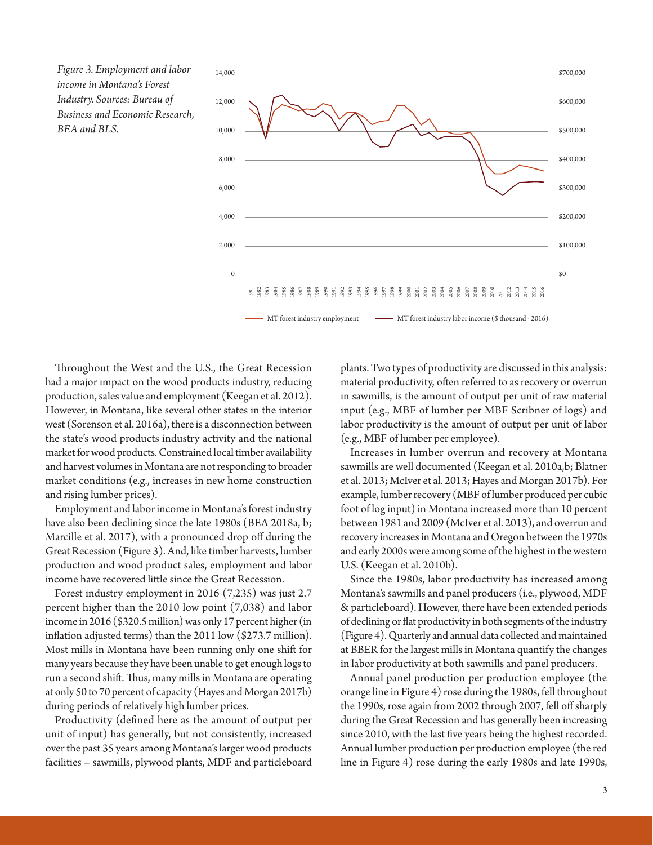*Figure 3. Employment and labor income in Montana's Forest Industry. Sources: Bureau of Business and Economic Research, BEA and BLS.*



Throughout the West and the U.S., the Great Recession had a major impact on the wood products industry, reducing production, sales value and employment (Keegan et al. 2012). However, in Montana, like several other states in the interior west (Sorenson et al. 2016a), there is a disconnection between the state's wood products industry activity and the national market for wood products. Constrained local timber availability and harvest volumes in Montana are not responding to broader market conditions (e.g., increases in new home construction and rising lumber prices).

Employment and labor income in Montana's forest industry have also been declining since the late 1980s (BEA 2018a, b; Marcille et al. 2017), with a pronounced drop off during the Great Recession (Figure 3). And, like timber harvests, lumber production and wood product sales, employment and labor income have recovered little since the Great Recession.

Forest industry employment in 2016 (7,235) was just 2.7 percent higher than the 2010 low point (7,038) and labor income in 2016 (\$320.5 million) was only 17 percent higher (in inflation adjusted terms) than the 2011 low (\$273.7 million). Most mills in Montana have been running only one shift for many years because they have been unable to get enough logs to run a second shift. Thus, many mills in Montana are operating at only 50 to 70 percent of capacity (Hayes and Morgan 2017b) during periods of relatively high lumber prices.

Productivity (defined here as the amount of output per unit of input) has generally, but not consistently, increased over the past 35 years among Montana's larger wood products facilities – sawmills, plywood plants, MDF and particleboard

plants. Two types of productivity are discussed in this analysis: material productivity, often referred to as recovery or overrun in sawmills, is the amount of output per unit of raw material input (e.g., MBF of lumber per MBF Scribner of logs) and labor productivity is the amount of output per unit of labor (e.g., MBF of lumber per employee).

Increases in lumber overrun and recovery at Montana sawmills are well documented (Keegan et al. 2010a,b; Blatner et al. 2013; McIver et al. 2013; Hayes and Morgan 2017b). For example, lumber recovery (MBF of lumber produced per cubic foot of log input) in Montana increased more than 10 percent between 1981 and 2009 (McIver et al. 2013), and overrun and recovery increases in Montana and Oregon between the 1970s and early 2000s were among some of the highest in the western U.S. (Keegan et al. 2010b).

Since the 1980s, labor productivity has increased among Montana's sawmills and panel producers (i.e., plywood, MDF & particleboard). However, there have been extended periods of declining or flat productivity in both segments of the industry (Figure 4). Quarterly and annual data collected and maintained at BBER for the largest mills in Montana quantify the changes in labor productivity at both sawmills and panel producers.

Annual panel production per production employee (the orange line in Figure 4) rose during the 1980s, fell throughout the 1990s, rose again from 2002 through 2007, fell off sharply during the Great Recession and has generally been increasing since 2010, with the last five years being the highest recorded. Annual lumber production per production employee (the red line in Figure 4) rose during the early 1980s and late 1990s,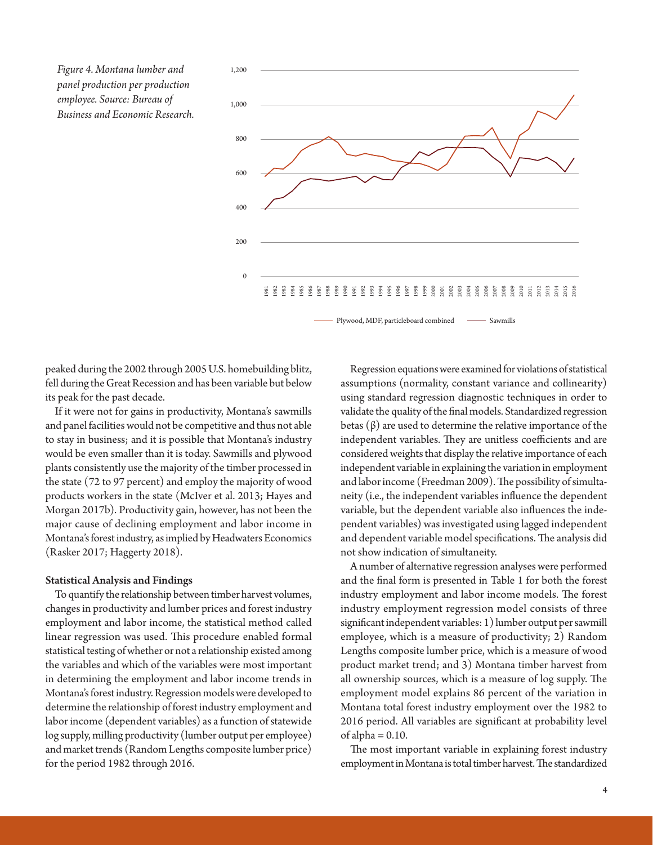*Figure 4. Montana lumber and panel production per production employee. Source: Bureau of Business and Economic Research.*



peaked during the 2002 through 2005 U.S. homebuilding blitz, fell during the Great Recession and has been variable but below its peak for the past decade.

If it were not for gains in productivity, Montana's sawmills and panel facilities would not be competitive and thus not able to stay in business; and it is possible that Montana's industry would be even smaller than it is today. Sawmills and plywood plants consistently use the majority of the timber processed in the state (72 to 97 percent) and employ the majority of wood products workers in the state (McIver et al. 2013; Hayes and Morgan 2017b). Productivity gain, however, has not been the major cause of declining employment and labor income in Montana's forest industry, as implied by Headwaters Economics (Rasker 2017; Haggerty 2018).

#### Statistical Analysis and Findings

To quantify the relationship between timber harvest volumes, changes in productivity and lumber prices and forest industry employment and labor income, the statistical method called linear regression was used. This procedure enabled formal statistical testing of whether or not a relationship existed among the variables and which of the variables were most important in determining the employment and labor income trends in Montana's forest industry. Regression models were developed to determine the relationship of forest industry employment and labor income (dependent variables) as a function of statewide log supply, milling productivity (lumber output per employee) and market trends (Random Lengths composite lumber price) for the period 1982 through 2016.

Regression equations were examined for violations of statistical assumptions (normality, constant variance and collinearity) using standard regression diagnostic techniques in order to validate the quality of the final models. Standardized regression betas (β) are used to determine the relative importance of the independent variables. They are unitless coefficients and are considered weights that display the relative importance of each independent variable in explaining the variation in employment and labor income (Freedman 2009). The possibility of simultaneity (i.e., the independent variables influence the dependent variable, but the dependent variable also influences the independent variables) was investigated using lagged independent and dependent variable model specifications. The analysis did not show indication of simultaneity.

A number of alternative regression analyses were performed and the final form is presented in Table 1 for both the forest industry employment and labor income models. The forest industry employment regression model consists of three significant independent variables: 1) lumber output per sawmill employee, which is a measure of productivity; 2) Random Lengths composite lumber price, which is a measure of wood product market trend; and 3) Montana timber harvest from all ownership sources, which is a measure of log supply. The employment model explains 86 percent of the variation in Montana total forest industry employment over the 1982 to 2016 period. All variables are significant at probability level of alpha  $= 0.10$ .

The most important variable in explaining forest industry employment in Montana is total timber harvest. The standardized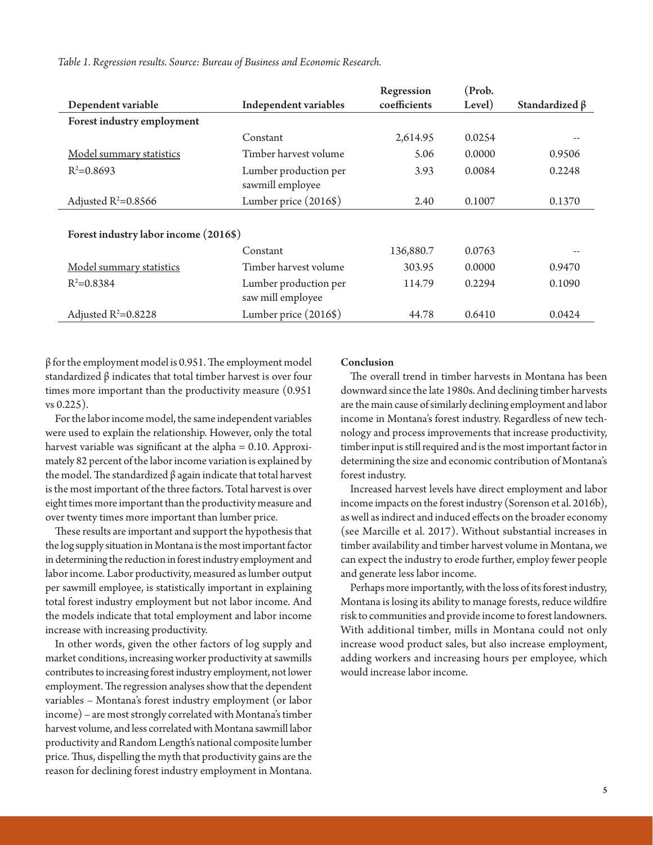|                                       |                                            | Regression   | (Prob. |                      |
|---------------------------------------|--------------------------------------------|--------------|--------|----------------------|
| Dependent variable                    | Independent variables                      | coefficients | Level) | Standardized $\beta$ |
| Forest industry employment            |                                            |              |        |                      |
|                                       | Constant                                   | 2,614.95     | 0.0254 |                      |
| Model summary statistics              | Timber harvest volume                      | 5.06         | 0.0000 | 0.9506               |
| $R^2=0.8693$                          | Lumber production per<br>sawmill employee  | 3.93         | 0.0084 | 0.2248               |
| Adjusted $R^2=0.8566$                 | Lumber price (2016\$)                      | 2.40         | 0.1007 | 0.1370               |
|                                       |                                            |              |        |                      |
| Forest industry labor income (2016\$) |                                            |              |        |                      |
|                                       | Constant                                   | 136,880.7    | 0.0763 |                      |
| Model summary statistics              | Timber harvest volume                      | 303.95       | 0.0000 | 0.9470               |
| $R^2=0.8384$                          | Lumber production per<br>saw mill employee | 114.79       | 0.2294 | 0.1090               |
| Adjusted $R^2 = 0.8228$               | Lumber price (2016\$)                      | 44.78        | 0.6410 | 0.0424               |

*Table 1. Regression results. Source: Bureau of Business and Economic Research.*

β for the employment model is 0.951. The employment model standardized β indicates that total timber harvest is over four times more important than the productivity measure (0.951 vs 0.225).

For the labor income model, the same independent variables were used to explain the relationship. However, only the total harvest variable was significant at the alpha = 0.10. Approximately 82 percent of the labor income variation is explained by the model. The standardized β again indicate that total harvest is the most important of the three factors. Total harvest is over eight times more important than the productivity measure and over twenty times more important than lumber price.

These results are important and support the hypothesis that the log supply situation in Montana is the most important factor in determining the reduction in forest industry employment and labor income. Labor productivity, measured as lumber output per sawmill employee, is statistically important in explaining total forest industry employment but not labor income. And the models indicate that total employment and labor income increase with increasing productivity.

In other words, given the other factors of log supply and market conditions, increasing worker productivity at sawmills contributes to increasing forest industry employment, not lower employment. The regression analyses show that the dependent variables – Montana's forest industry employment (or labor income) – are most strongly correlated with Montana's timber harvest volume, and less correlated with Montana sawmill labor productivity and Random Length's national composite lumber price. Thus, dispelling the myth that productivity gains are the reason for declining forest industry employment in Montana.

#### Conclusion

The overall trend in timber harvests in Montana has been downward since the late 1980s. And declining timber harvests are the main cause of similarly declining employment and labor income in Montana's forest industry. Regardless of new technology and process improvements that increase productivity, timber input is still required and is the most important factor in determining the size and economic contribution of Montana's forest industry.

Increased harvest levels have direct employment and labor income impacts on the forest industry (Sorenson et al. 2016b), as well as indirect and induced effects on the broader economy (see Marcille et al. 2017). Without substantial increases in timber availability and timber harvest volume in Montana, we can expect the industry to erode further, employ fewer people and generate less labor income.

Perhaps more importantly, with the loss of its forest industry, Montana is losing its ability to manage forests, reduce wildfire risk to communities and provide income to forest landowners. With additional timber, mills in Montana could not only increase wood product sales, but also increase employment, adding workers and increasing hours per employee, which would increase labor income.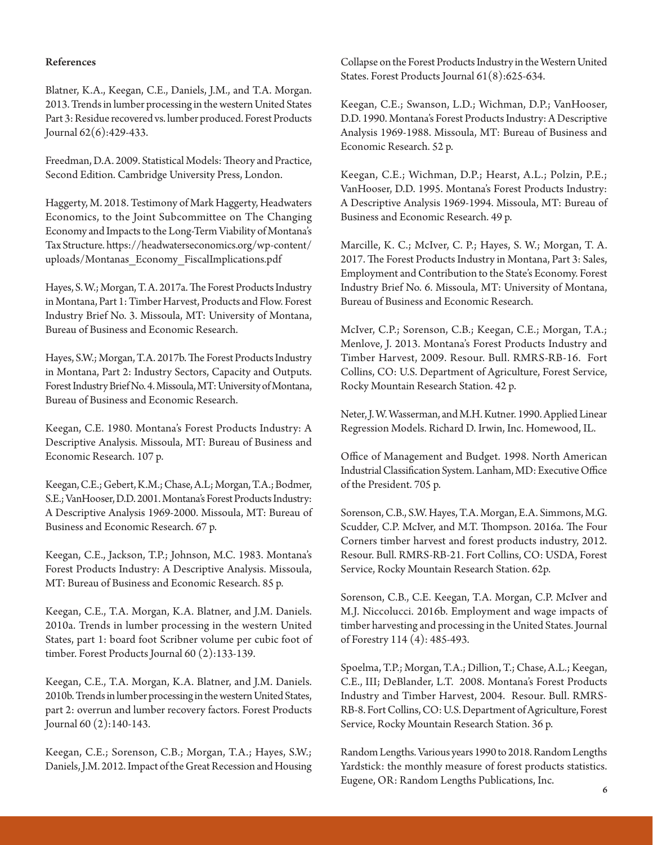## References

Blatner, K.A., Keegan, C.E., Daniels, J.M., and T.A. Morgan. 2013. Trends in lumber processing in the western United States Part 3: Residue recovered vs. lumber produced. Forest Products Journal 62(6):429-433.

Freedman, D.A. 2009. Statistical Models: Theory and Practice, Second Edition. Cambridge University Press, London.

Haggerty, M. 2018. Testimony of Mark Haggerty, Headwaters Economics, to the Joint Subcommittee on The Changing Economy and Impacts to the Long-Term Viability of Montana's Tax Structure. https://headwaterseconomics.org/wp-content/ uploads/Montanas\_Economy\_FiscalImplications.pdf

Hayes, S. W.; Morgan, T. A. 2017a. The Forest Products Industry in Montana, Part 1: Timber Harvest, Products and Flow. Forest Industry Brief No. 3. Missoula, MT: University of Montana, Bureau of Business and Economic Research.

Hayes, S.W.; Morgan, T.A. 2017b. The Forest Products Industry in Montana, Part 2: Industry Sectors, Capacity and Outputs. Forest Industry Brief No. 4. Missoula, MT: University of Montana, Bureau of Business and Economic Research.

Keegan, C.E. 1980. Montana's Forest Products Industry: A Descriptive Analysis. Missoula, MT: Bureau of Business and Economic Research. 107 p.

Keegan, C.E.; Gebert, K.M.; Chase, A.L; Morgan, T.A.; Bodmer, S.E.; VanHooser, D.D. 2001. Montana's Forest Products Industry: A Descriptive Analysis 1969-2000. Missoula, MT: Bureau of Business and Economic Research. 67 p.

Keegan, C.E., Jackson, T.P.; Johnson, M.C. 1983. Montana's Forest Products Industry: A Descriptive Analysis. Missoula, MT: Bureau of Business and Economic Research. 85 p.

Keegan, C.E., T.A. Morgan, K.A. Blatner, and J.M. Daniels. 2010a. Trends in lumber processing in the western United States, part 1: board foot Scribner volume per cubic foot of timber. Forest Products Journal 60 (2):133-139.

Keegan, C.E., T.A. Morgan, K.A. Blatner, and J.M. Daniels. 2010b. Trends in lumber processing in the western United States, part 2: overrun and lumber recovery factors. Forest Products Journal 60 (2):140-143.

Keegan, C.E.; Sorenson, C.B.; Morgan, T.A.; Hayes, S.W.; Daniels, J.M. 2012. Impact of the Great Recession and Housing

Collapse on the Forest Products Industry in the Western United States. Forest Products Journal 61(8):625-634.

Keegan, C.E.; Swanson, L.D.; Wichman, D.P.; VanHooser, D.D. 1990. Montana's Forest Products Industry: A Descriptive Analysis 1969-1988. Missoula, MT: Bureau of Business and Economic Research. 52 p.

Keegan, C.E.; Wichman, D.P.; Hearst, A.L.; Polzin, P.E.; VanHooser, D.D. 1995. Montana's Forest Products Industry: A Descriptive Analysis 1969-1994. Missoula, MT: Bureau of Business and Economic Research. 49 p.

Marcille, K. C.; McIver, C. P.; Hayes, S. W.; Morgan, T. A. 2017. The Forest Products Industry in Montana, Part 3: Sales, Employment and Contribution to the State's Economy. Forest Industry Brief No. 6. Missoula, MT: University of Montana, Bureau of Business and Economic Research.

McIver, C.P.; Sorenson, C.B.; Keegan, C.E.; Morgan, T.A.; Menlove, J. 2013. Montana's Forest Products Industry and Timber Harvest, 2009. Resour. Bull. RMRS-RB-16. Fort Collins, CO: U.S. Department of Agriculture, Forest Service, Rocky Mountain Research Station. 42 p.

Neter, J. W. Wasserman, and M.H. Kutner. 1990. Applied Linear Regression Models. Richard D. Irwin, Inc. Homewood, IL.

Office of Management and Budget. 1998. North American Industrial Classification System. Lanham, MD: Executive Office of the President. 705 p.

Sorenson, C.B., S.W. Hayes, T.A. Morgan, E.A. Simmons, M.G. Scudder, C.P. McIver, and M.T. Thompson. 2016a. The Four Corners timber harvest and forest products industry, 2012. Resour. Bull. RMRS-RB-21. Fort Collins, CO: USDA, Forest Service, Rocky Mountain Research Station. 62p.

Sorenson, C.B., C.E. Keegan, T.A. Morgan, C.P. McIver and M.J. Niccolucci. 2016b. Employment and wage impacts of timber harvesting and processing in the United States. Journal of Forestry 114 (4): 485-493.

Spoelma, T.P.; Morgan, T.A.; Dillion, T.; Chase, A.L.; Keegan, C.E., III; DeBlander, L.T. 2008. Montana's Forest Products Industry and Timber Harvest, 2004. Resour. Bull. RMRS-RB-8. Fort Collins, CO: U.S. Department of Agriculture, Forest Service, Rocky Mountain Research Station. 36 p.

Random Lengths. Various years 1990 to 2018. Random Lengths Yardstick: the monthly measure of forest products statistics. Eugene, OR: Random Lengths Publications, Inc. 6